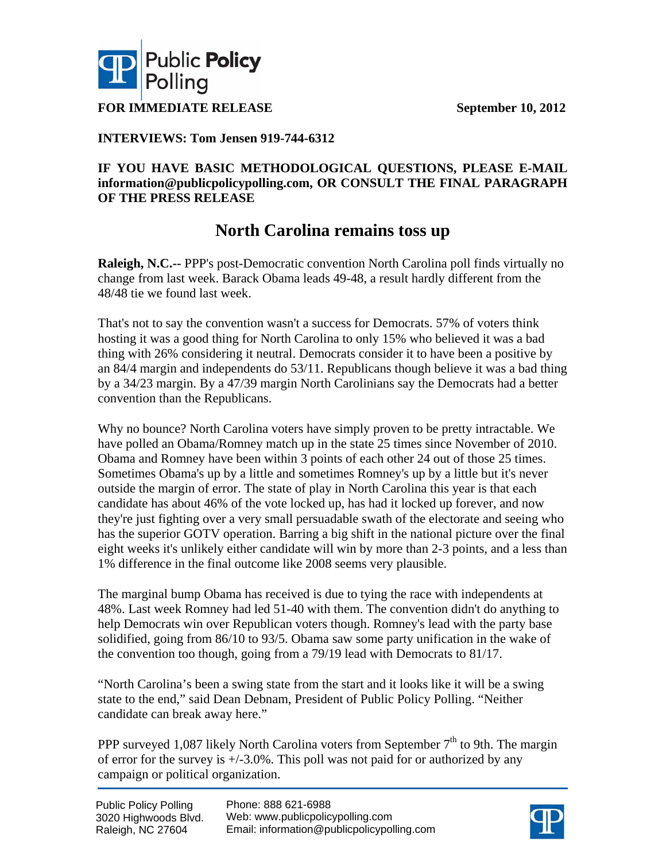



**FOR IMMEDIATE RELEASE** September 10, 2012

### **INTERVIEWS: Tom Jensen 919-744-6312**

### **IF YOU HAVE BASIC METHODOLOGICAL QUESTIONS, PLEASE E-MAIL information@publicpolicypolling.com, OR CONSULT THE FINAL PARAGRAPH OF THE PRESS RELEASE**

## **North Carolina remains toss up**

**Raleigh, N.C.--** PPP's post-Democratic convention North Carolina poll finds virtually no change from last week. Barack Obama leads 49-48, a result hardly different from the 48/48 tie we found last week.

That's not to say the convention wasn't a success for Democrats. 57% of voters think hosting it was a good thing for North Carolina to only 15% who believed it was a bad thing with 26% considering it neutral. Democrats consider it to have been a positive by an 84/4 margin and independents do 53/11. Republicans though believe it was a bad thing by a 34/23 margin. By a 47/39 margin North Carolinians say the Democrats had a better convention than the Republicans.

Why no bounce? North Carolina voters have simply proven to be pretty intractable. We have polled an Obama/Romney match up in the state 25 times since November of 2010. Obama and Romney have been within 3 points of each other 24 out of those 25 times. Sometimes Obama's up by a little and sometimes Romney's up by a little but it's never outside the margin of error. The state of play in North Carolina this year is that each candidate has about 46% of the vote locked up, has had it locked up forever, and now they're just fighting over a very small persuadable swath of the electorate and seeing who has the superior GOTV operation. Barring a big shift in the national picture over the final eight weeks it's unlikely either candidate will win by more than 2-3 points, and a less than 1% difference in the final outcome like 2008 seems very plausible.

The marginal bump Obama has received is due to tying the race with independents at 48%. Last week Romney had led 51-40 with them. The convention didn't do anything to help Democrats win over Republican voters though. Romney's lead with the party base solidified, going from 86/10 to 93/5. Obama saw some party unification in the wake of the convention too though, going from a 79/19 lead with Democrats to 81/17.

"North Carolina's been a swing state from the start and it looks like it will be a swing state to the end," said Dean Debnam, President of Public Policy Polling. "Neither candidate can break away here."

PPP surveyed 1,087 likely North Carolina voters from September  $7<sup>th</sup>$  to 9th. The margin of error for the survey is  $\pm$ /-3.0%. This poll was not paid for or authorized by any campaign or political organization.

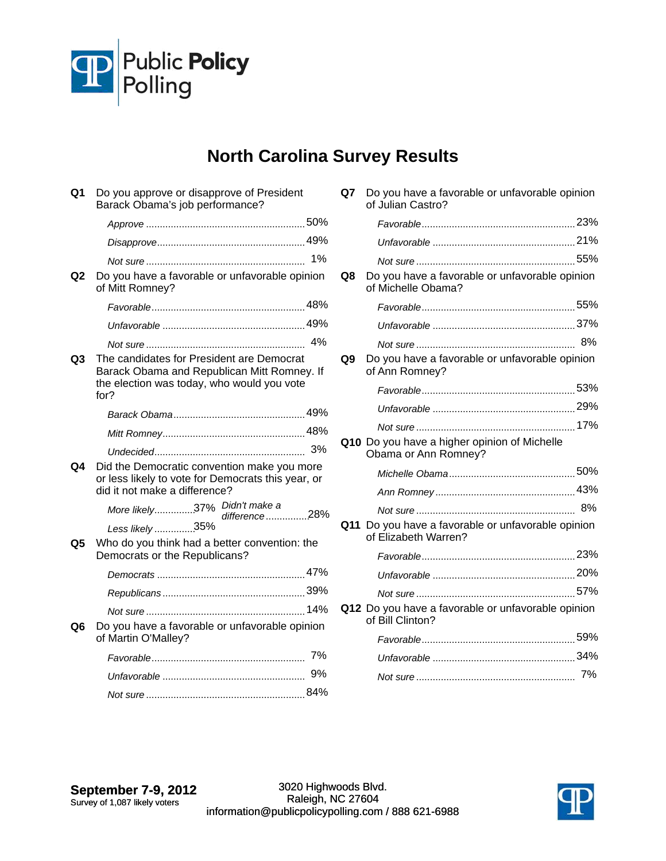

# **North Carolina Survey Results**

| Q1             | Do you approve or disapprove of President<br>Barack Obama's job performance?                                                                   |
|----------------|------------------------------------------------------------------------------------------------------------------------------------------------|
|                |                                                                                                                                                |
|                |                                                                                                                                                |
|                | 1%                                                                                                                                             |
| Q <sub>2</sub> | Do you have a favorable or unfavorable opinion<br>of Mitt Romney?                                                                              |
|                |                                                                                                                                                |
|                |                                                                                                                                                |
|                |                                                                                                                                                |
| Q <sub>3</sub> | The candidates for President are Democrat<br>Barack Obama and Republican Mitt Romney. If<br>the election was today, who would you vote<br>for? |
|                |                                                                                                                                                |
|                |                                                                                                                                                |
| Q4             | Did the Democratic convention make you more<br>or less likely to vote for Democrats this year, or<br>did it not make a difference?             |
|                | More likely37% Didn't make a<br>difference28%<br>Less likely 35%                                                                               |
| Q5             | Who do you think had a better convention: the<br>Democrats or the Republicans?                                                                 |
|                |                                                                                                                                                |
|                |                                                                                                                                                |
|                |                                                                                                                                                |
| Q6             | Do you have a favorable or unfavorable opinion<br>of Martin O'Malley?                                                                          |
|                |                                                                                                                                                |
|                | 9%                                                                                                                                             |
|                |                                                                                                                                                |

| Q8 | Do you have a favorable or unfavorable opinion<br>of Michelle Obama?       |  |
|----|----------------------------------------------------------------------------|--|
|    |                                                                            |  |
|    |                                                                            |  |
|    |                                                                            |  |
| Q9 | Do you have a favorable or unfavorable opinion<br>of Ann Romney?           |  |
|    |                                                                            |  |
|    |                                                                            |  |
|    |                                                                            |  |
|    | Q10 Do you have a higher opinion of Michelle<br>Obama or Ann Romney?       |  |
|    |                                                                            |  |
|    |                                                                            |  |
|    |                                                                            |  |
|    | Q11 Do you have a favorable or unfavorable opinion<br>of Elizabeth Warren? |  |
|    |                                                                            |  |
|    |                                                                            |  |

*Not sure* 57% ..........................................................

*Favorable* 59% ........................................................ *Unfavorable* 34% .................................................... *Not sure* 7% ..........................................................

**Q12** Do you have a favorable or unfavorable opinion

of Bill Clinton?

**Q7** Do you have a favorable or unfavorable opinion

*Favorable* 23% ........................................................

of Julian Castro?

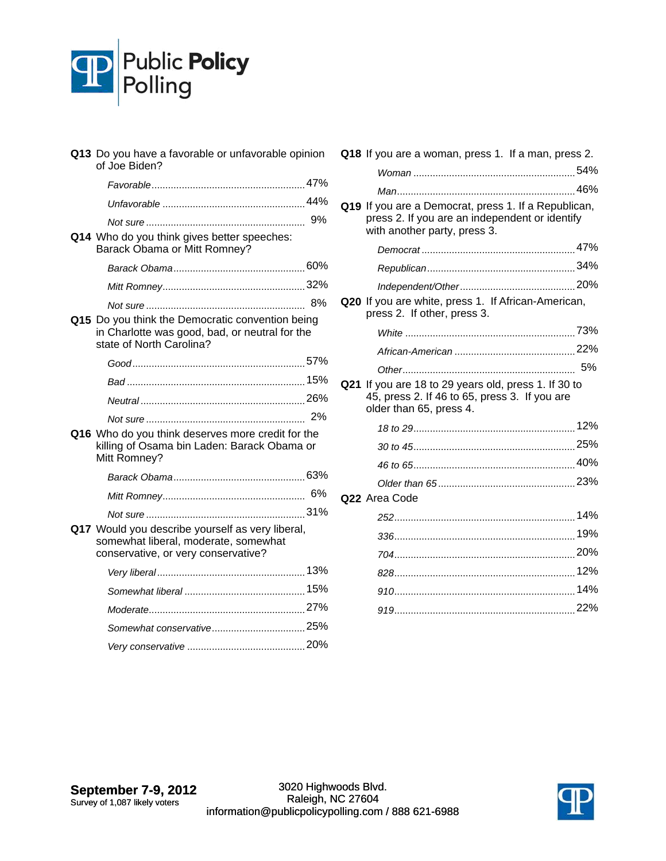

| Q13 Do you have a favorable or unfavorable opinion<br>of Joe Biden?                                                             |    |
|---------------------------------------------------------------------------------------------------------------------------------|----|
|                                                                                                                                 |    |
|                                                                                                                                 |    |
|                                                                                                                                 |    |
| Q14 Who do you think gives better speeches:<br>Barack Obama or Mitt Romney?                                                     |    |
|                                                                                                                                 |    |
|                                                                                                                                 |    |
|                                                                                                                                 | 8% |
| Q15 Do you think the Democratic convention being<br>in Charlotte was good, bad, or neutral for the<br>state of North Carolina?  |    |
|                                                                                                                                 |    |
|                                                                                                                                 |    |
|                                                                                                                                 |    |
|                                                                                                                                 |    |
| Q16 Who do you think deserves more credit for the<br>killing of Osama bin Laden: Barack Obama or<br>Mitt Romney?                |    |
|                                                                                                                                 |    |
|                                                                                                                                 |    |
|                                                                                                                                 |    |
| Q17 Would you describe yourself as very liberal,<br>somewhat liberal, moderate, somewhat<br>conservative, or very conservative? |    |
|                                                                                                                                 |    |
|                                                                                                                                 |    |
|                                                                                                                                 |    |
|                                                                                                                                 |    |
|                                                                                                                                 |    |

|     | Q18 If you are a woman, press 1. If a man, press 2.                                                                                    |     |
|-----|----------------------------------------------------------------------------------------------------------------------------------------|-----|
|     |                                                                                                                                        |     |
|     |                                                                                                                                        |     |
|     | Q19 If you are a Democrat, press 1. If a Republican,<br>press 2. If you are an independent or identify<br>with another party, press 3. |     |
|     |                                                                                                                                        |     |
|     |                                                                                                                                        |     |
|     |                                                                                                                                        |     |
|     | Q20 If you are white, press 1. If African-American,<br>press 2. If other, press 3.                                                     |     |
|     |                                                                                                                                        |     |
|     |                                                                                                                                        |     |
|     |                                                                                                                                        |     |
| Q21 | If you are 18 to 29 years old, press 1. If 30 to                                                                                       |     |
|     | 45, press 2. If 46 to 65, press 3. If you are<br>older than 65, press 4.                                                               |     |
|     |                                                                                                                                        |     |
|     |                                                                                                                                        |     |
|     |                                                                                                                                        |     |
|     |                                                                                                                                        |     |
|     | Q22 Area Code                                                                                                                          |     |
|     |                                                                                                                                        |     |
|     |                                                                                                                                        |     |
|     |                                                                                                                                        |     |
|     |                                                                                                                                        | 12% |
|     |                                                                                                                                        | 14% |
|     |                                                                                                                                        |     |

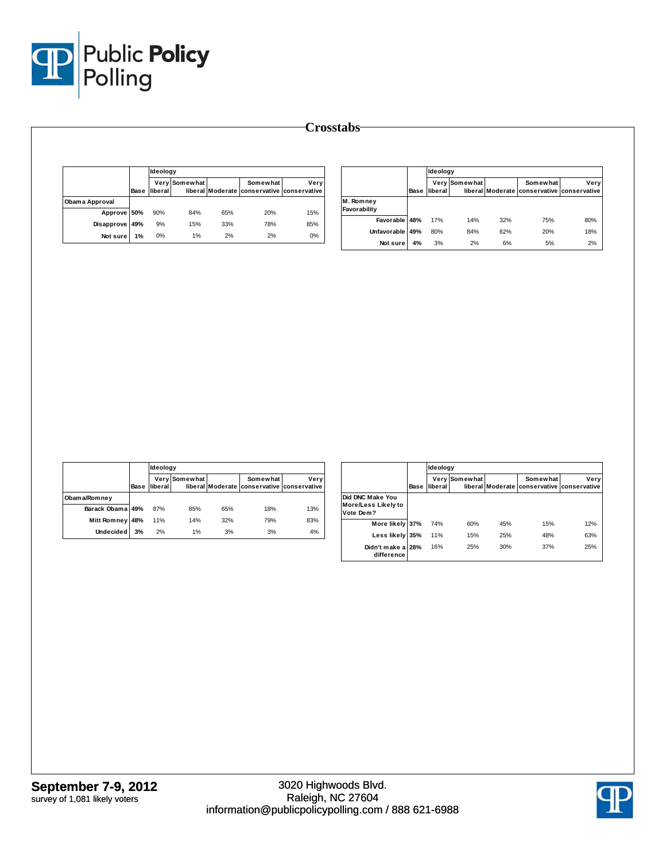

|                |      |         | Ideology      |     |                                                        |      |  |
|----------------|------|---------|---------------|-----|--------------------------------------------------------|------|--|
|                | Base | liberal | Very Somewhat |     | Somewhat<br>liberal Moderate conservative conservative | Verv |  |
| Obama Approval |      |         |               |     |                                                        |      |  |
| Approve 50%    |      | 90%     | 84%           | 65% | 20%                                                    | 15%  |  |
| Disapprove     | 49%  | 9%      | 15%           | 33% | 78%                                                    | 85%  |  |
| Not sure       | 1%   | 0%      | 1%            | 2%  | 2%                                                     | 0%   |  |

|                           | Base | Ideology |               |     |                                                        |      |  |
|---------------------------|------|----------|---------------|-----|--------------------------------------------------------|------|--|
|                           |      | liberal  | Very Somewhat |     | Somewhat<br>liberal Moderate conservative conservative | Very |  |
| M. Romney<br>Favorability |      |          |               |     |                                                        |      |  |
| Favorable                 | 48%  | 17%      | 14%           | 32% | 75%                                                    | 80%  |  |
| Unfavorable               | 49%  | 80%      | 84%           | 62% | 20%                                                    | 18%  |  |
| Not sure                  | 4%   | 3%       | 2%            | 6%  | 5%                                                     | 2%   |  |

|                  |      | <b>Ideology</b>      |               |     |                                                        |      |  |  |
|------------------|------|----------------------|---------------|-----|--------------------------------------------------------|------|--|--|
|                  | Base | liberal <sup>1</sup> | Very Somewhat |     | Somewhat<br>liberal Moderate conservative conservative | Very |  |  |
| Obama/Romney     |      |                      |               |     |                                                        |      |  |  |
| Barack Obama 49% |      | 87%                  | 85%           | 65% | 18%                                                    | 13%  |  |  |
| Mitt Romney 48%  |      | 11%                  | 14%           | 32% | 79%                                                    | 83%  |  |  |
| <b>Undecided</b> | 3%   | 2%                   | 1%            | 3%  | 3%                                                     | 4%   |  |  |

|                                                             |      |                 | Ideology        |     |                                                        |      |  |
|-------------------------------------------------------------|------|-----------------|-----------------|-----|--------------------------------------------------------|------|--|
|                                                             | Base | Verv<br>liberal | <b>Somewhat</b> |     | Somewhat<br>liberal Moderate conservative conservative | Very |  |
| <b>Did DNC Make You</b><br>More/Less Likely to<br>Vote Dem? |      |                 |                 |     |                                                        |      |  |
| More likely 37%                                             |      | 74%             | 60%             | 45% | 15%                                                    | 12%  |  |
| Less likely 35%                                             |      | 11%             | 15%             | 25% | 48%                                                    | 63%  |  |
| Didn't make a<br>difference                                 | 28%  | 16%             | 25%             | 30% | 37%                                                    | 25%  |  |

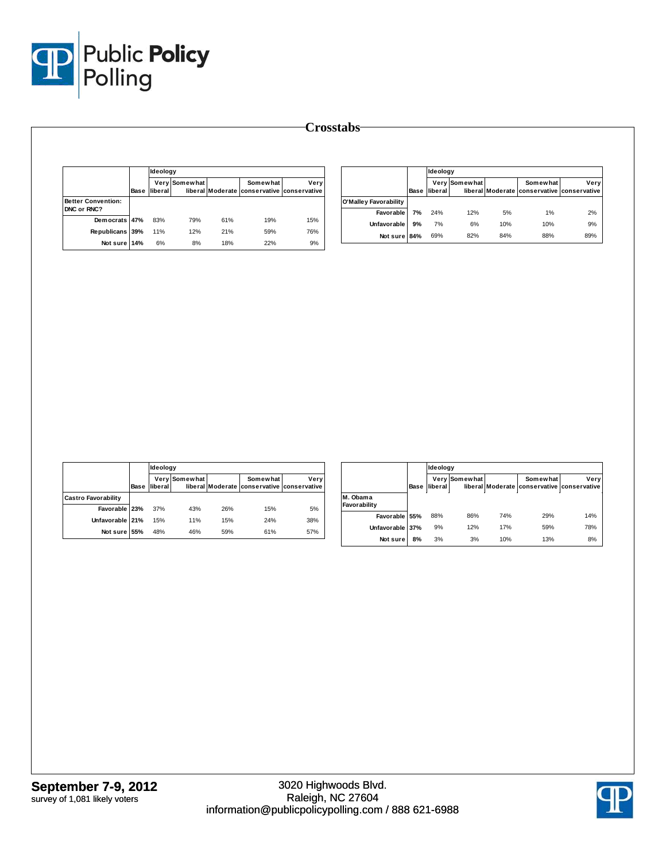

|                                          | <b>Base</b> | Ideology             |                      |     |                                                        |      |
|------------------------------------------|-------------|----------------------|----------------------|-----|--------------------------------------------------------|------|
|                                          |             | liberal <sup>1</sup> | <b>Very Somewhat</b> |     | Somewhat<br>liberal Moderate conservative conservative | Verv |
| <b>Better Convention:</b><br>DNC or RNC? |             |                      |                      |     |                                                        |      |
| Democrats 47%                            |             | 83%                  | 79%                  | 61% | 19%                                                    | 15%  |
| Republicans 39%                          |             | 11%                  | 12%                  | 21% | 59%                                                    | 76%  |
| Not sure                                 | 14%         | 6%                   | 8%                   | 18% | 22%                                                    | 9%   |

|                       |      | Ideology |               |     |                                                        |      |  |
|-----------------------|------|----------|---------------|-----|--------------------------------------------------------|------|--|
|                       | Base | liberal  | Very Somewhat |     | Somewhat<br>liberal Moderate conservative conservative | Very |  |
| O'Malley Favorability |      |          |               |     |                                                        |      |  |
| Favorable             | 7%   | 24%      | 12%           | 5%  | 1%                                                     | 2%   |  |
| Unfavorable           | 9%   | 7%       | 6%            | 10% | 10%                                                    | 9%   |  |
| Not sure 84%          |      | 69%      | 82%           | 84% | 88%                                                    | 89%  |  |

|                            |      | <b>Ideology</b> |               |     |                                                        |      |  |
|----------------------------|------|-----------------|---------------|-----|--------------------------------------------------------|------|--|
|                            | Base | liberal         | Very Somewhat |     | Somewhat<br>liberal Moderate conservative conservative | Very |  |
| <b>Castro Favorability</b> |      |                 |               |     |                                                        |      |  |
| Favorable 23%              |      | 37%             | 43%           | 26% | 15%                                                    | 5%   |  |
| Unfavorable 21%            |      | 15%             | 11%           | 15% | 24%                                                    | 38%  |  |
| Not sure 55%               |      | 48%             | 46%           | 59% | 61%                                                    | 57%  |  |

|                          |      | Ideology |               |     |                                                        |      |  |
|--------------------------|------|----------|---------------|-----|--------------------------------------------------------|------|--|
|                          | Base | liberal  | Very Somewhat |     | Somewhat<br>liberal Moderate conservative conservative | Very |  |
| M. Obama<br>Favorability |      |          |               |     |                                                        |      |  |
| Favorable 55%            |      | 88%      | 86%           | 74% | 29%                                                    | 14%  |  |
| Unfavorable 37%          |      | 9%       | 12%           | 17% | 59%                                                    | 78%  |  |
| Not sure                 | 8%   | 3%       | 3%            | 10% | 13%                                                    | 8%   |  |

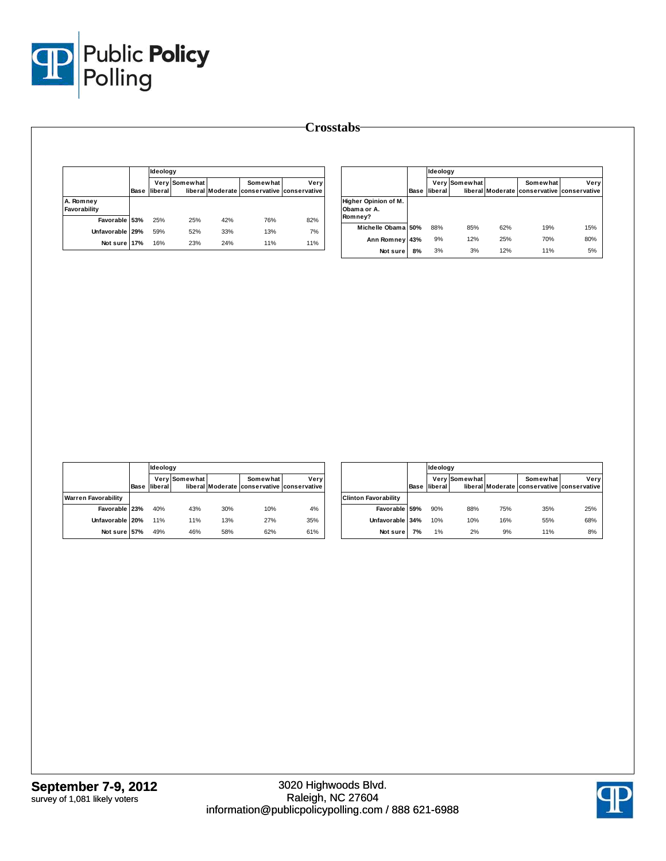

|                           |      | <b>Ideology</b> |               |     |                                                        |      |  |  |  |
|---------------------------|------|-----------------|---------------|-----|--------------------------------------------------------|------|--|--|--|
|                           | Base | liberal         | Very Somewhat |     | Somewhat<br>liberal Moderate conservative conservative | Verv |  |  |  |
| A. Romney<br>Favorability |      |                 |               |     |                                                        |      |  |  |  |
| Favorable 53%             |      | 25%             | 25%           | 42% | 76%                                                    | 82%  |  |  |  |
| Unfavorable 29%           |      | 59%             | 52%           | 33% | 13%                                                    | 7%   |  |  |  |
| Not sure 17%              |      | 16%             | 23%           | 24% | 11%                                                    | 11%  |  |  |  |

|                                                |      | Ideology |               |     |                                                        |      |
|------------------------------------------------|------|----------|---------------|-----|--------------------------------------------------------|------|
|                                                | Base | liberal  | Very Somewhat |     | Somewhat<br>liberal Moderate conservative conservative | Very |
| Higher Opinion of M.<br>Obama or A.<br>Romney? |      |          |               |     |                                                        |      |
| Michelle Obama 50%                             |      | 88%      | 85%           | 62% | 19%                                                    | 15%  |
| Ann Romney                                     | 43%  | 9%       | 12%           | 25% | 70%                                                    | 80%  |
| Not sure                                       | 8%   | 3%       | 3%            | 12% | 11%                                                    | 5%   |

|                            |             |         | <b>Ideology</b> |     |                                                        |      |  |  |
|----------------------------|-------------|---------|-----------------|-----|--------------------------------------------------------|------|--|--|
|                            | <b>Base</b> | liberal | Very Somewhat   |     | Somewhat<br>liberal Moderate conservative conservative | Very |  |  |
| <b>Warren Favorability</b> |             |         |                 |     |                                                        |      |  |  |
| Favorable 23%              |             | 40%     | 43%             | 30% | 10%                                                    | 4%   |  |  |
| Unfavorable 20%            |             | 11%     | 11%             | 13% | 27%                                                    | 35%  |  |  |
| Not sure 57%               |             | 49%     | 46%             | 58% | 62%                                                    | 61%  |  |  |

|                             |      | Ideology |               |     |                                                        |      |
|-----------------------------|------|----------|---------------|-----|--------------------------------------------------------|------|
|                             | Base | liberal  | Very Somewhat |     | Somewhat<br>liberal Moderate conservative conservative | Very |
| <b>Clinton Favorability</b> |      |          |               |     |                                                        |      |
| Favorable 59%               |      | 90%      | 88%           | 75% | 35%                                                    | 25%  |
| Unfavorable 34%             |      | 10%      | 10%           | 16% | 55%                                                    | 68%  |
| Not sure                    | 7%   | 1%       | 2%            | 9%  | 11%                                                    | 8%   |

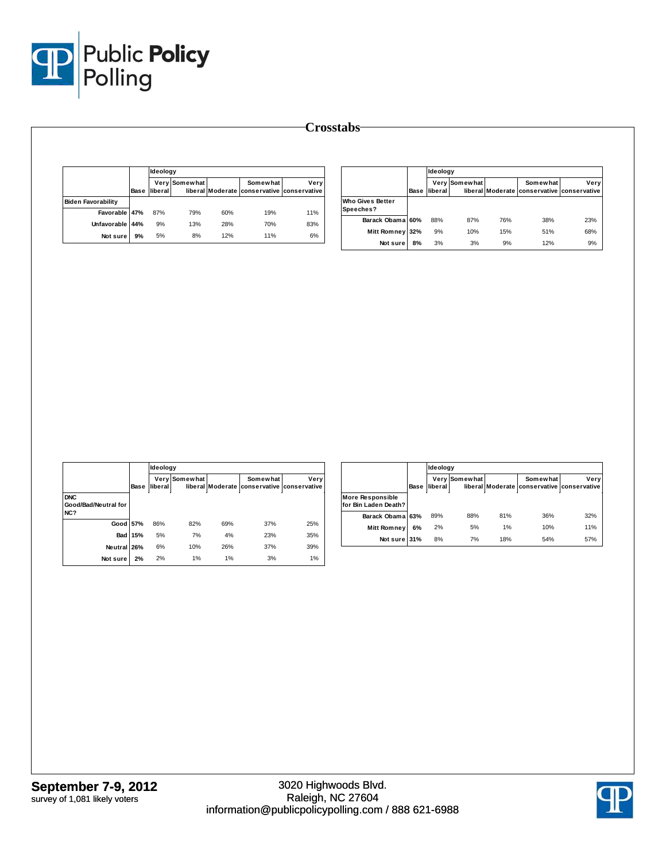

|                           |      |         | Ideology      |     |                                                        |      |  |
|---------------------------|------|---------|---------------|-----|--------------------------------------------------------|------|--|
|                           | Base | liberal | Very Somewhat |     | Somewhat<br>liberal Moderate conservative conservative | Verv |  |
| <b>Biden Favorability</b> |      |         |               |     |                                                        |      |  |
| Favorable 47%             |      | 87%     | 79%           | 60% | 19%                                                    | 11%  |  |
| Unfavorable I             | 44%  | 9%      | 13%           | 28% | 70%                                                    | 83%  |  |
| Not sure                  | 9%   | 5%      | 8%            | 12% | 11%                                                    | 6%   |  |

|                                      | Base | Ideology |               |     |                                                        |      |
|--------------------------------------|------|----------|---------------|-----|--------------------------------------------------------|------|
|                                      |      | liberal  | Very Somewhat |     | Somewhat<br>liberal Moderate conservative conservative | Very |
| <b>Who Gives Better</b><br>Speeches? |      |          |               |     |                                                        |      |
| Barack Obama 60%                     |      | 88%      | 87%           | 76% | 38%                                                    | 23%  |
| Mitt Romney 32%                      |      | 9%       | 10%           | 15% | 51%                                                    | 68%  |
| Not sure                             | 8%   | 3%       | 3%            | 9%  | 12%                                                    | 9%   |

|                                           |                |         | Ideology      |     |                                                               |      |  |  |
|-------------------------------------------|----------------|---------|---------------|-----|---------------------------------------------------------------|------|--|--|
|                                           | Base           | liberal | Very Somewhat |     | <b>Somewhat</b><br>liberal Moderate conservative conservative | Very |  |  |
| <b>DNC</b><br>Good/Bad/Neutral for<br>NC? |                |         |               |     |                                                               |      |  |  |
| Good 57%                                  |                | 86%     | 82%           | 69% | 37%                                                           | 25%  |  |  |
|                                           | <b>Bad 15%</b> | 5%      | 7%            | 4%  | 23%                                                           | 35%  |  |  |
| <b>Neutral</b>                            | 26%            | 6%      | 10%           | 26% | 37%                                                           | 39%  |  |  |
| Not sure                                  | 2%             | 2%      | 1%            | 1%  | 3%                                                            | 1%   |  |  |

|                                                 |      |         | Ideology      |     |                                                        |      |  |
|-------------------------------------------------|------|---------|---------------|-----|--------------------------------------------------------|------|--|
|                                                 | Base | liberal | Very Somewhat |     | Somewhat<br>liberal Moderate conservative conservative | Very |  |
| <b>More Responsible</b><br>for Bin Laden Death? |      |         |               |     |                                                        |      |  |
| Barack Obama 63%                                |      | 89%     | 88%           | 81% | 36%                                                    | 32%  |  |
| Mitt Romney                                     | 6%   | 2%      | 5%            | 1%  | 10%                                                    | 11%  |  |
| Not sure                                        | 31%  | 8%      | 7%            | 18% | 54%                                                    | 57%  |  |

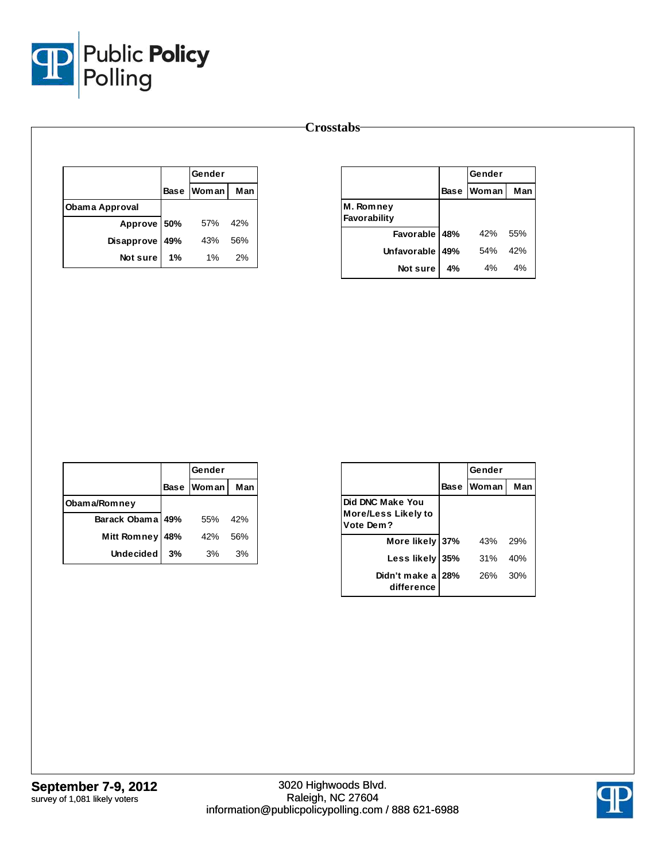

|                |     | Gender       |     |
|----------------|-----|--------------|-----|
|                |     | Base   Woman | Man |
| Obama Approval |     |              |     |
| Approve 50%    |     | 57%          | 42% |
| Disapprove     | 49% | 43%          | 56% |
| Not sure       | 1%  | $1\%$        | 2%  |

|                           |             | Gender |     |
|---------------------------|-------------|--------|-----|
|                           | <b>Base</b> | Woman  | Man |
| M. Romney<br>Favorability |             |        |     |
| Favorable 48%             |             | 42%    | 55% |
| Unfavorable               | 49%         | 54%    | 42% |
| Not sure                  | 4%          | 4%     | 4%  |

|                    |     | Gender            |     |
|--------------------|-----|-------------------|-----|
|                    |     | <b>Base Woman</b> | Man |
| Obama/Romney       |     |                   |     |
| Barack Obama 49%   |     | 55%               | 42% |
| <b>Mitt Romney</b> | 48% | 42%               | 56% |
| <b>Undecided</b>   | 3%  | 3%                | 3%  |

|                                                             |      | Gender       |     |  |
|-------------------------------------------------------------|------|--------------|-----|--|
|                                                             | Base | <b>Woman</b> | Man |  |
| Did DNC Make You<br><b>More/Less Likely to</b><br>Vote Dem? |      |              |     |  |
| More likely 37%                                             |      | 43%          | 29% |  |
| Less likely 35%                                             |      | 31%          | 40% |  |
| Didn't make a 28%<br>difference                             |      | 26%          | 30% |  |

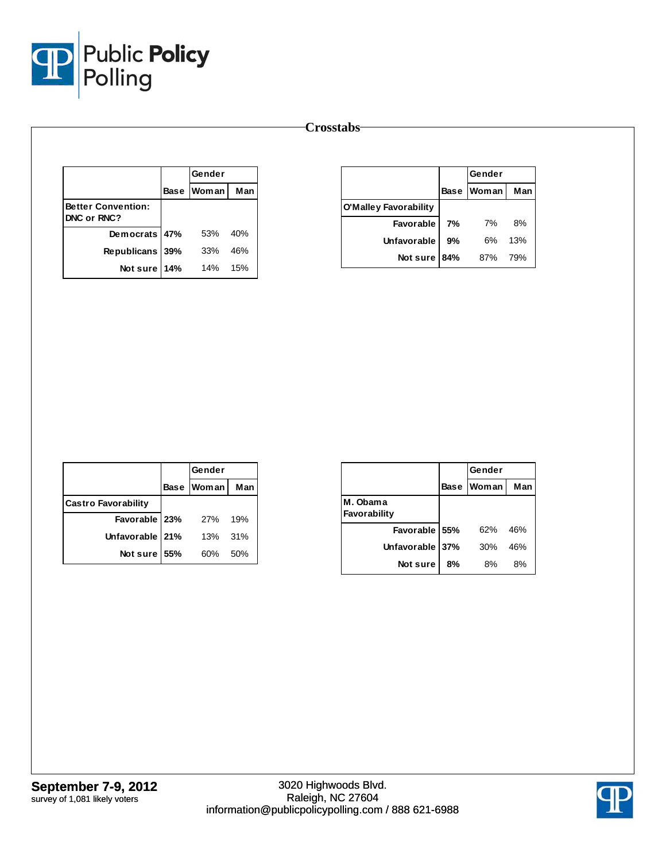

|                                          |  |            | Gender |  |
|------------------------------------------|--|------------|--------|--|
|                                          |  | Base Woman | Man    |  |
| <b>Better Convention:</b><br>DNC or RNC? |  |            |        |  |
| Democrats 47%                            |  | 53%        | 40%    |  |
| Republicans 39%                          |  | 33%        | 46%    |  |
| Not sure 14%                             |  | 14%        | 15%    |  |

|                              |             | Gender |     |
|------------------------------|-------------|--------|-----|
|                              | <b>Base</b> | Woman  | Man |
| <b>O'Malley Favorability</b> |             |        |     |
| Favorable                    | 7%          | 7%     | 8%  |
| <b>Unfavorable</b>           | 9%          | 6%     | 13% |
| Not sure                     | 84%         | 87%    | 79% |

|                            | Gender       |     |
|----------------------------|--------------|-----|
|                            | Base   Woman | Man |
| <b>Castro Favorability</b> |              |     |
| Favorable   23%            | 27%          | 19% |
| Unfavorable   21%          | 13%          | 31% |
| Not sure 55%               | 60%          | 50% |

|                          |             | Gender |     |
|--------------------------|-------------|--------|-----|
|                          | <b>Base</b> | Woman  | Man |
| M. Obama<br>Favorability |             |        |     |
| Favorable 55%            |             | 62%    | 46% |
| <b>Unfavorable</b>       | 37%         | 30%    | 46% |
| Not sure                 | 8%          | 8%     | 8%  |

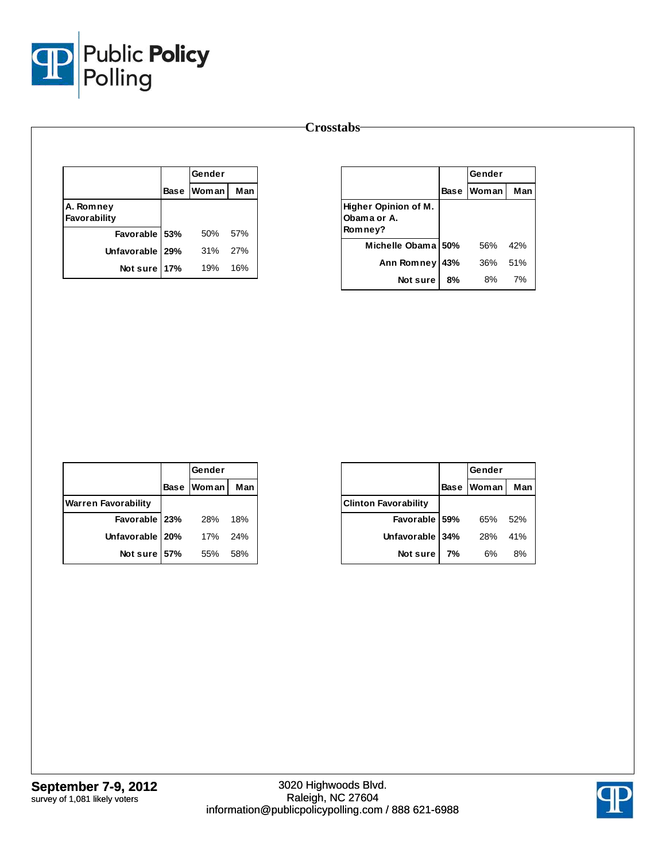

|                           |     |                   | Gender |  |
|---------------------------|-----|-------------------|--------|--|
|                           |     | <b>Base Woman</b> | Man    |  |
| A. Romney<br>Favorability |     |                   |        |  |
| Favorable 53%             |     | 50%               | 57%    |  |
| Unfavorable   29%         |     | 31% 27%           |        |  |
| Not sure                  | 17% | 19%               | 16%    |  |

|                                                |     | Gender     |     |
|------------------------------------------------|-----|------------|-----|
|                                                |     | Base Woman | Man |
| Higher Opinion of M.<br>Obama or A.<br>Romney? |     |            |     |
| Michelle Obama 50%                             |     | 56%        | 42% |
| Ann Romney                                     | 43% | 36%        | 51% |
| Notsure                                        | 8%  | 8%         | 7%  |

|                            | Gender     |     |
|----------------------------|------------|-----|
|                            | Base Woman | Man |
| <b>Warren Favorability</b> |            |     |
| Favorable 23%              | 28%        | 18% |
| Unfavorable 20%            | 17%        | 24% |
| Not sure 57%               | 55%        | 58% |

|                             |             | Gender       |     |
|-----------------------------|-------------|--------------|-----|
|                             | <b>Base</b> | <b>Woman</b> | Man |
| <b>Clinton Favorability</b> |             |              |     |
| Favorable 59%               |             | 65%          | 52% |
| Unfavorable 34%             |             | 28%          | 41% |
| Not sure                    | 7%          | 6%           | 8%  |

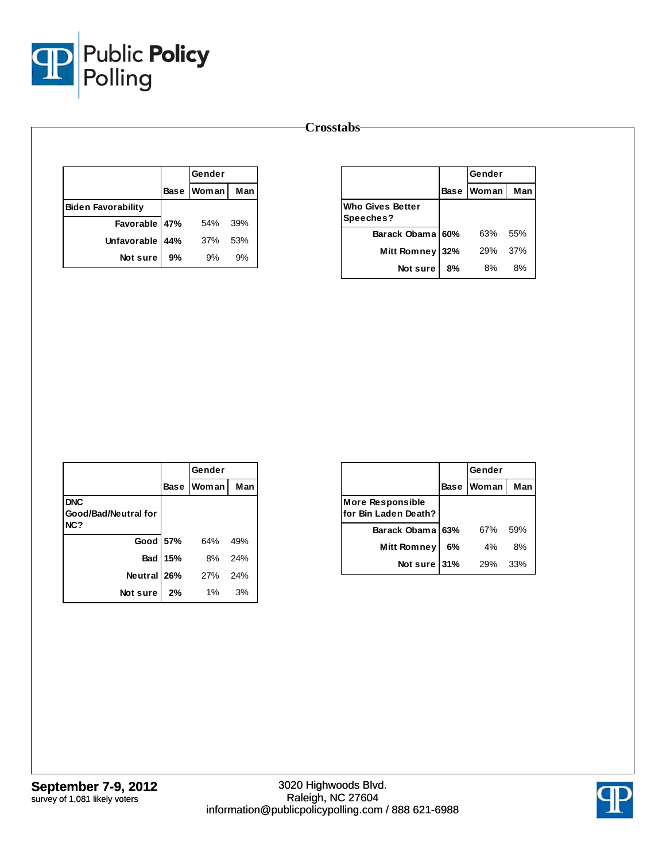

|                           |    | Gender     |     |
|---------------------------|----|------------|-----|
|                           |    | Base Woman | Man |
| <b>Biden Favorability</b> |    |            |     |
| Favorable 47%             |    | 54%        | 39% |
| Unfavorable 44%           |    | 37%        | 53% |
| Not sure                  | 9% | 9%         | 9%  |

|                                      | Gender      |            |     |
|--------------------------------------|-------------|------------|-----|
|                                      | <b>Base</b> | Woman      | Man |
| <b>Who Gives Better</b><br>Speeches? |             |            |     |
| Barack Obama 60%                     |             | 63%        | 55% |
| <b>Mitt Romney</b>                   | 32%         | <b>29%</b> | 37% |
| Not sure                             | 8%          | 8%         | 8%  |

|                      |                | Gender     |     |
|----------------------|----------------|------------|-----|
|                      |                | Base Woman | Man |
| <b>DNC</b>           |                |            |     |
| Good/Bad/Neutral for |                |            |     |
| NC?                  |                |            |     |
| Good 57%             |                | 64%        | 49% |
|                      | <b>Bad 15%</b> | 8%         | 24% |
| Neutral 26%          |                | 27%        | 24% |
| Not sure             | 2%             | $1\%$      | 3%  |

|                                                 |             | Gender       |     |
|-------------------------------------------------|-------------|--------------|-----|
|                                                 | <b>Base</b> | <b>Woman</b> | Man |
| <b>More Responsible</b><br>for Bin Laden Death? |             |              |     |
| Barack Obama 63%                                |             | 67%          | 59% |
| <b>Mitt Romney</b>                              | 6%          | 4%           | 8%  |
| Not sure                                        | 31%         | 29%          | 33% |

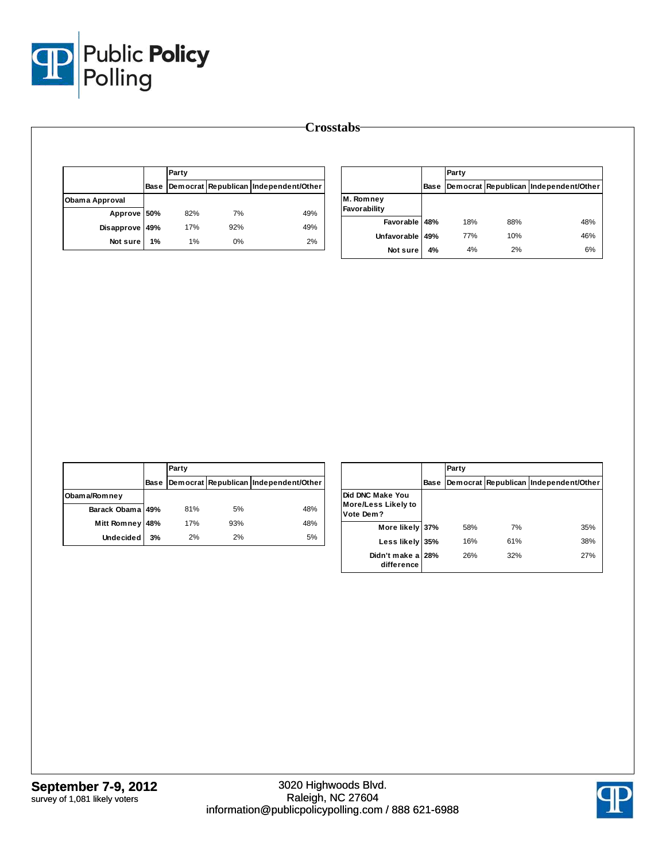

|                |      | Party |     |                                       |
|----------------|------|-------|-----|---------------------------------------|
|                | Base |       |     | Democrat Republican Independent/Other |
| Obama Approval |      |       |     |                                       |
| Approve 50%    |      | 82%   | 7%  | 49%                                   |
| Disapprove 49% |      | 17%   | 92% | 49%                                   |
| Not sure       | 1%   | 1%    | 0%  | 2%                                    |

|                           |      | Party |     |                                       |  |  |  |  |
|---------------------------|------|-------|-----|---------------------------------------|--|--|--|--|
|                           | Base |       |     | Democrat Republican Independent/Other |  |  |  |  |
| M. Romney<br>Favorability |      |       |     |                                       |  |  |  |  |
| Favorable 48%             |      | 18%   | 88% | 48%                                   |  |  |  |  |
| Unfavorable               | 49%  | 77%   | 10% | 46%                                   |  |  |  |  |
| Not sure                  | 4%   | 4%    | 2%  | 6%                                    |  |  |  |  |

|                  |      | Party |     |                                       |
|------------------|------|-------|-----|---------------------------------------|
|                  | Base |       |     | Democrat Republican Independent/Other |
| Obama/Romney     |      |       |     |                                       |
| Barack Obama 49% |      | 81%   | 5%  | 48%                                   |
| Mitt Romney      | 48%  | 17%   | 93% | 48%                                   |
| Undecided        | 3%   | 2%    | 2%  | 5%                                    |

|                                                      |             | Party |     |                                       |  |  |
|------------------------------------------------------|-------------|-------|-----|---------------------------------------|--|--|
|                                                      | <b>Base</b> |       |     | Democrat Republican Independent/Other |  |  |
| Did DNC Make You<br>More/Less Likely to<br>Vote Dem? |             |       |     |                                       |  |  |
| More likely                                          | 137%        | 58%   | 7%  | 35%                                   |  |  |
| Less likely                                          | 35%         | 16%   | 61% | 38%                                   |  |  |
| Didn't make a 28%<br>difference                      |             | 26%   | 32% | 27%                                   |  |  |

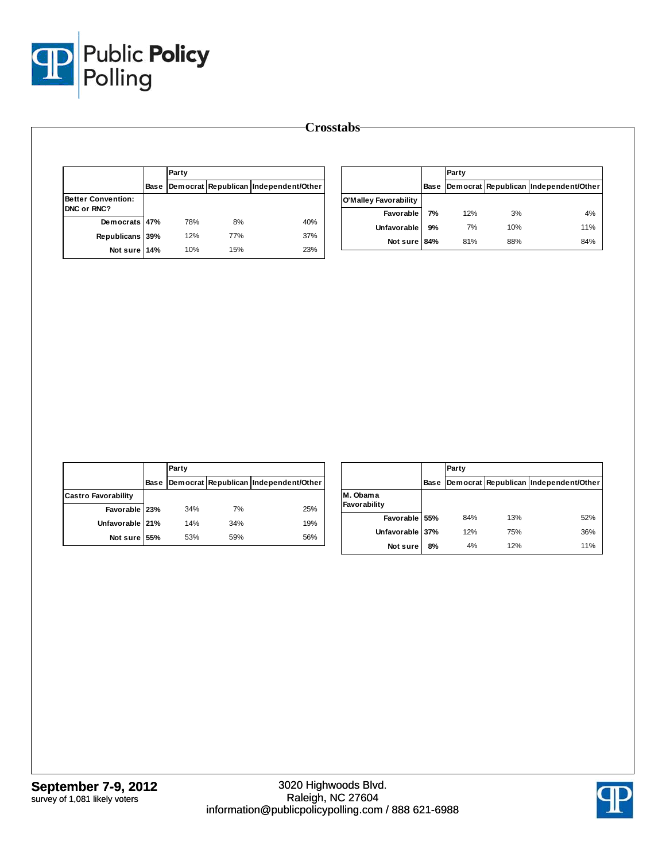

|                           |             | Party |     |                                       |                       |    | Party |     |                                            |
|---------------------------|-------------|-------|-----|---------------------------------------|-----------------------|----|-------|-----|--------------------------------------------|
|                           | <b>Base</b> |       |     | Democrat Republican Independent/Other |                       |    |       |     | Base Democrat Republican Independent/Other |
| <b>Better Convention:</b> |             |       |     |                                       | O'Malley Favorability |    |       |     |                                            |
| DNC or RNC?               |             |       |     |                                       | Favorable             | 7% | 12%   | 3%  | 4%                                         |
| Democrats 47%             |             | 78%   | 8%  | 40%                                   | Unfavorable           | 9% | 7%    | 10% | 11%                                        |
| Republicans 39%           |             | 12%   | 77% | 37%                                   | Not sure 84%          |    | 81%   | 88% | 84%                                        |
| Not sure 14%              |             | 10%   | 15% | 23%                                   |                       |    |       |     |                                            |

|                            |      | Party |     |                                       |
|----------------------------|------|-------|-----|---------------------------------------|
|                            | Base |       |     | Democrat Republican Independent/Other |
| <b>Castro Favorability</b> |      |       |     |                                       |
| Favorable 23%              |      | 34%   | 7%  | 25%                                   |
| Unfavorable 21%            |      | 14%   | 34% | 19%                                   |
| Not sure 55%               |      | 53%   | 59% | 56%                                   |

|                          |             | Party |     |                                       |  |  |  |
|--------------------------|-------------|-------|-----|---------------------------------------|--|--|--|
|                          | <b>Base</b> |       |     | Democrat Republican Independent/Other |  |  |  |
| M. Obama<br>Favorability |             |       |     |                                       |  |  |  |
| Favorable 55%            |             | 84%   | 13% | 52%                                   |  |  |  |
| Unfavorable 37%          |             | 12%   | 75% | 36%                                   |  |  |  |
| Not sure                 | 8%          | 4%    | 12% | 11%                                   |  |  |  |

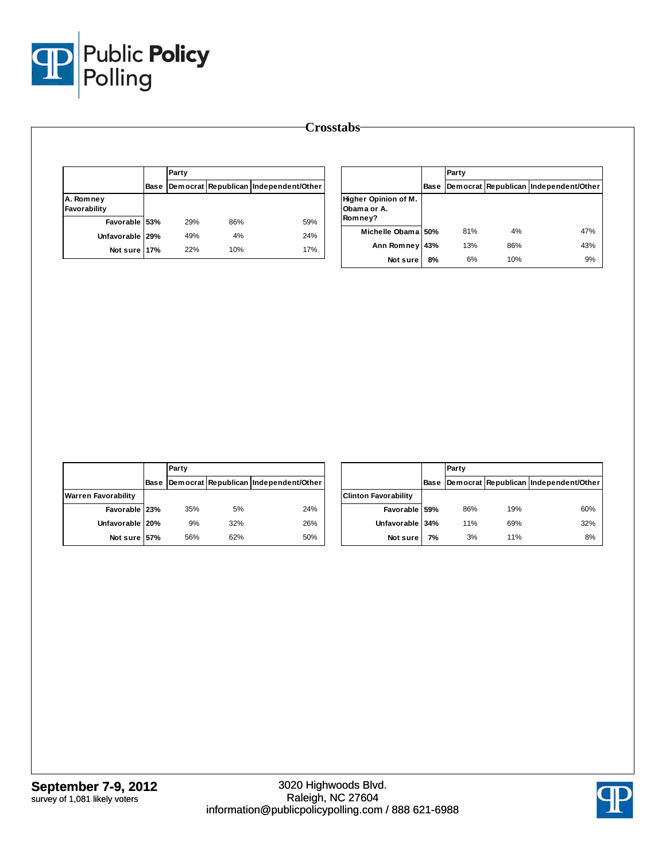

|                           | <b>Base</b> | Party |     |                                       |  |  |
|---------------------------|-------------|-------|-----|---------------------------------------|--|--|
|                           |             |       |     | Democrat Republican Independent/Other |  |  |
| A. Romney<br>Favorability |             |       |     |                                       |  |  |
| Favorable 53%             |             | 29%   | 86% | 59%                                   |  |  |
| Unfavorable 29%           |             | 49%   | 4%  | 24%                                   |  |  |
| Not sure 17%              |             | 22%   | 10% | 17%                                   |  |  |

|                                                |      | Party |     |                                       |
|------------------------------------------------|------|-------|-----|---------------------------------------|
|                                                | Base |       |     | Democrat Republican Independent/Other |
| Higher Opinion of M.<br>Obama or A.<br>Romney? |      |       |     |                                       |
| Michelle Obama 50%                             |      | 81%   | 4%  | 47%                                   |
| Ann Romney                                     | 43%  | 13%   | 86% | 43%                                   |
| Not sure                                       | 8%   | 6%    | 10% | 9%                                    |

|                            |             | Party |     |                                       |
|----------------------------|-------------|-------|-----|---------------------------------------|
|                            | <b>Base</b> |       |     | Democrat Republican Independent/Other |
| <b>Warren Favorability</b> |             |       |     |                                       |
| Favorable 23%              |             | 35%   | 5%  | 24%                                   |
| Unfavorable 20%            |             | 9%    | 32% | 26%                                   |
| Not sure 57%               |             | 56%   | 62% | 50%                                   |

|                             |      | Party |     |                                       |  |  |  |
|-----------------------------|------|-------|-----|---------------------------------------|--|--|--|
|                             | Base |       |     | Democrat Republican Independent/Other |  |  |  |
| <b>Clinton Favorability</b> |      |       |     |                                       |  |  |  |
| Favorable 59%               |      | 86%   | 19% | 60%                                   |  |  |  |
| Unfavorable 34%             |      | 11%   | 69% | 32%                                   |  |  |  |
| Not sure                    | 7%   | 3%    | 11% | 8%                                    |  |  |  |

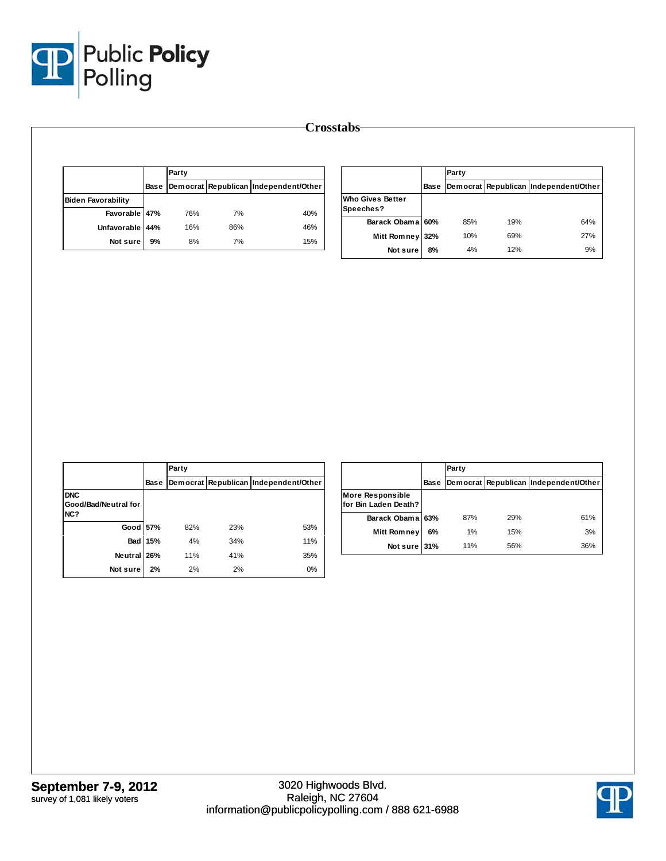

|                           |      | Party<br>Democrat Republican Independent/Other |     |     |  |  |  |  |
|---------------------------|------|------------------------------------------------|-----|-----|--|--|--|--|
|                           | Base |                                                |     |     |  |  |  |  |
| <b>Biden Favorability</b> |      |                                                |     |     |  |  |  |  |
| Favorable 47%             |      | 76%                                            | 7%  | 40% |  |  |  |  |
| Unfavorable 44%           |      | 16%                                            | 86% | 46% |  |  |  |  |
| Not sure                  | 9%   | 8%                                             | 7%  | 15% |  |  |  |  |

|                                      |      | Party<br>Democrat Republican Independent/Other |     |     |  |  |  |  |
|--------------------------------------|------|------------------------------------------------|-----|-----|--|--|--|--|
|                                      | Base |                                                |     |     |  |  |  |  |
| <b>Who Gives Better</b><br>Speeches? |      |                                                |     |     |  |  |  |  |
| Barack Obama 60%                     |      | 85%                                            | 19% | 64% |  |  |  |  |
| <b>Mitt Romney</b>                   | 32%  | 10%                                            | 69% | 27% |  |  |  |  |
| Not sure                             | 8%   | 4%                                             | 12% | 9%  |  |  |  |  |

|                                           |             | Party                                 |     |     |  |  |  |  |
|-------------------------------------------|-------------|---------------------------------------|-----|-----|--|--|--|--|
|                                           | <b>Base</b> | Democrat Republican Independent/Other |     |     |  |  |  |  |
| <b>DNC</b><br>Good/Bad/Neutral for<br>NC? |             |                                       |     |     |  |  |  |  |
| Good 57%                                  |             | 82%                                   | 23% | 53% |  |  |  |  |
| <b>Bad</b>                                | 15%         | 4%                                    | 34% | 11% |  |  |  |  |
| Neutral 26%                               |             | 11%                                   | 41% | 35% |  |  |  |  |
| Not sure                                  | 2%          | 2%                                    | 2%  | 0%  |  |  |  |  |

|                                                 |      | Party                                 |     |     |  |  |  |  |
|-------------------------------------------------|------|---------------------------------------|-----|-----|--|--|--|--|
|                                                 | Base | Democrat Republican Independent/Other |     |     |  |  |  |  |
| <b>More Responsible</b><br>for Bin Laden Death? |      |                                       |     |     |  |  |  |  |
| Barack Obama 63%                                |      | 87%                                   | 29% | 61% |  |  |  |  |
| <b>Mitt Romney</b>                              | 6%   | 1%                                    | 15% | 3%  |  |  |  |  |
| Not sure 31%                                    |      | 11%                                   | 56% | 36% |  |  |  |  |

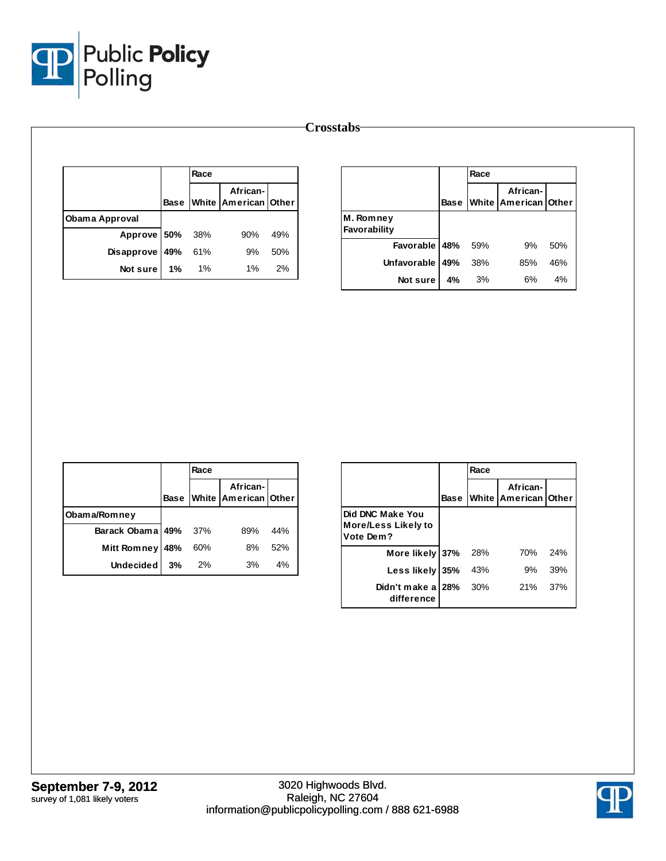

|                       |             | Race |                                  |     |              |
|-----------------------|-------------|------|----------------------------------|-----|--------------|
|                       | <b>Base</b> |      | African-<br>White American Other |     |              |
| <b>Obama Approval</b> |             |      |                                  |     | M. Romney    |
| Approve 50%           |             | 38%  | 90%                              | 49% | Favorability |
| Disapprove            | 49%         | 61%  | 9%                               | 50% |              |
|                       |             |      |                                  |     | Unfavoral    |
| Not sure              | 1%          | 1%   | $1\%$                            | 2%  |              |

|                           |             | Race |                                  |     |
|---------------------------|-------------|------|----------------------------------|-----|
|                           | <b>Base</b> |      | African-<br>White American Other |     |
| M. Romney<br>Favorability |             |      |                                  |     |
| Favorable 48%             |             | 59%  | 9%                               | 50% |
| <b>Unfavorable</b>        | 49%         | 38%  | 85%                              | 46% |
| Not sure                  | 4%          | 3%   | 6%                               | 4%  |

|                      |             | Race |                                  |     |
|----------------------|-------------|------|----------------------------------|-----|
|                      | <b>Base</b> |      | African-<br>White American Other |     |
| Obama/Romney         |             |      |                                  |     |
| Barack Obama 49% 37% |             |      | 89%                              | 44% |
| Mitt Romney          | 48%         | 60%  | 8%                               | 52% |
| Undecided $3%$       |             | 2%   | 3%                               | 4%  |

|                                                             |      | Race |                                         |     |
|-------------------------------------------------------------|------|------|-----------------------------------------|-----|
|                                                             | Base |      | African-<br><b>White American Other</b> |     |
| <b>Did DNC Make You</b><br>More/Less Likely to<br>Vote Dem? |      |      |                                         |     |
| More likely 37%                                             |      | 28%  | 70%                                     | 24% |
| Less likely 35%                                             |      | 43%  | 9%                                      | 39% |
| Didn't make a 28%<br>difference                             |      | 30%  | 21%                                     | 37% |

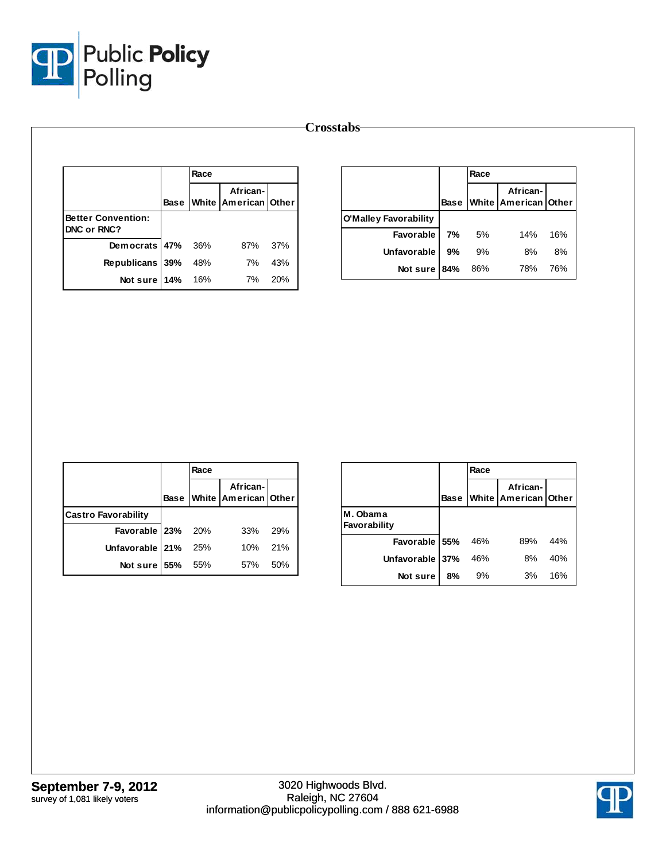

| <b>Crosstabs</b>          |             |      |                                  |     |                              |    |      |                                       |     |
|---------------------------|-------------|------|----------------------------------|-----|------------------------------|----|------|---------------------------------------|-----|
|                           |             | Race |                                  |     |                              |    | Race |                                       |     |
|                           | <b>Base</b> |      | African-<br>White American Other |     |                              |    |      | African-<br>Base White American Other |     |
| <b>Better Convention:</b> |             |      |                                  |     | <b>O'Malley Favorability</b> |    |      |                                       |     |
| DNC or RNC?               |             |      |                                  |     | Favorable                    | 7% | 5%   | 14%                                   | 16% |
| Democrats 47%             |             | 36%  | 87%                              | 37% | Unfavorable                  | 9% | 9%   | 8%                                    | 8%  |
| Republicans 39%           |             | 48%  | 7%                               | 43% | Not sure 84%                 |    | 86%  | 78%                                   | 76% |
| Not sure 14%              |             | 16%  | 7%                               | 20% |                              |    |      |                                       |     |

|                            |             | Race |                                         |     |
|----------------------------|-------------|------|-----------------------------------------|-----|
|                            | <b>Base</b> |      | African-<br><b>White American Other</b> |     |
| <b>Castro Favorability</b> |             |      |                                         |     |
| Favorable 23% 20%          |             |      | 33%                                     | 29% |
| Unfavorable   21%          |             | 25%  | 10%                                     | 21% |
| Not sure 55%               |             | 55%  | 57%                                     | 50% |

|                          |             | Race |                                  |     |
|--------------------------|-------------|------|----------------------------------|-----|
|                          | <b>Base</b> |      | African-<br>White American Other |     |
| M. Obama<br>Favorability |             |      |                                  |     |
| Favorable 55%            |             | 46%  | 89%                              | 44% |
| Unfavorable 37%          |             | 46%  | 8%                               | 40% |
| Not sure                 | 8%          | 9%   | 3%                               | 16% |

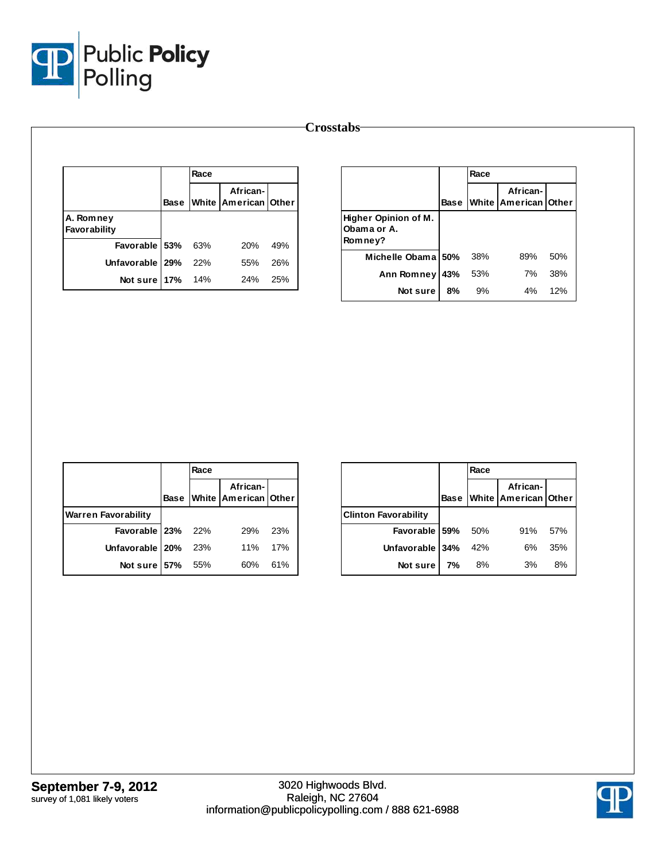

| <b>Crosstabs</b>          |      |      |                                  |     |                                     |     |      |                                              |     |
|---------------------------|------|------|----------------------------------|-----|-------------------------------------|-----|------|----------------------------------------------|-----|
|                           |      | Race |                                  |     |                                     |     | Race |                                              |     |
|                           | Base |      | African-<br>White American Other |     |                                     |     |      | African-<br><b>Base White American Other</b> |     |
| A. Romney<br>Favorability |      |      |                                  |     | Higher Opinion of M.<br>Obama or A. |     |      |                                              |     |
| Favorable                 | 53%  | 63%  | 20%                              | 49% | Romney?                             |     |      |                                              |     |
| Unfavorable   29%         |      | 22%  | 55%                              | 26% | Michelle Obama 50%                  |     | 38%  | 89%                                          | 50% |
| Not sure 17%              |      | 14%  | 24%                              | 25% | Ann Romney                          | 43% | 53%  | 7%                                           | 38% |
|                           |      |      |                                  |     | Not sure                            | 8%  | 9%   | 4%                                           | 12% |

|                            |             | Race |                                  |     |
|----------------------------|-------------|------|----------------------------------|-----|
|                            | <b>Base</b> |      | African-<br>White American Other |     |
| <b>Warren Favorability</b> |             |      |                                  |     |
| Favorable 23% 22%          |             |      | 29%                              | 23% |
| Unfavorable   20%          |             | 23%  | 11%                              | 17% |
| Not sure 57% 55%           |             |      | 60%                              | 61% |

|                             |             | Race |                                  |     |  |  |  |
|-----------------------------|-------------|------|----------------------------------|-----|--|--|--|
|                             | <b>Base</b> |      | African-<br>White American Other |     |  |  |  |
| <b>Clinton Favorability</b> |             |      |                                  |     |  |  |  |
| Favorable 59%               |             | 50%  | 91%                              | 57% |  |  |  |
| Unfavorable 34%             |             | 42%  | 6%                               | 35% |  |  |  |
| Not sure                    | 7%          | 8%   | 3%                               | 8%  |  |  |  |

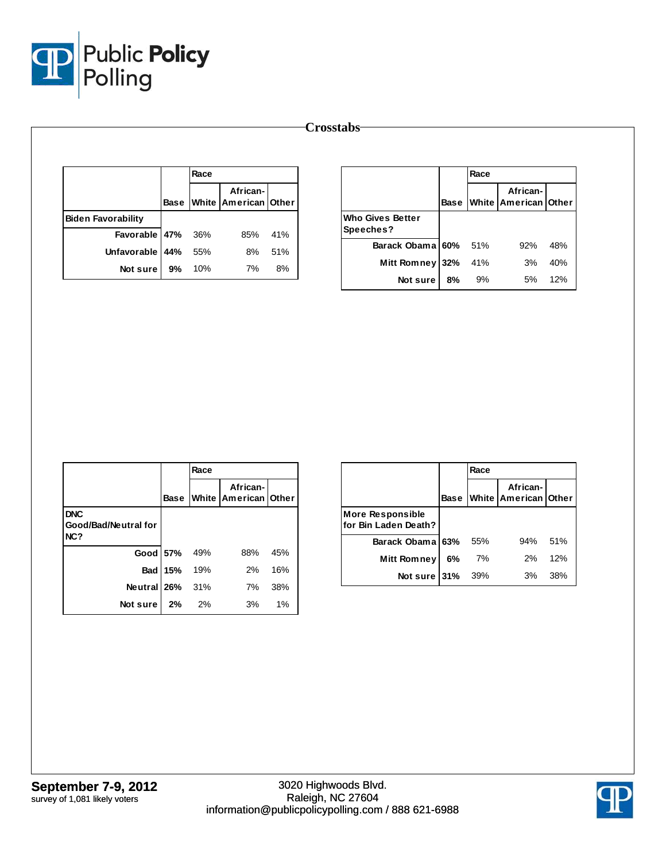

|                           |             | Race |                                      |     |                         |
|---------------------------|-------------|------|--------------------------------------|-----|-------------------------|
|                           | <b>Base</b> |      | African-<br>White   American   Other |     |                         |
| <b>Biden Favorability</b> |             |      |                                      |     | <b>Who Gives Better</b> |
| Favorable 47%             |             | 36%  | 85%                                  | 41% | Speeches?               |
| Unfavorable               | 44%         | 55%  | 8%                                   | 51% | <b>Barack Obama</b>     |
|                           |             |      |                                      |     | <b>Mitt Romney</b>      |
| Not sure                  | 9%          | 10%  | 7%                                   | 8%  | Not sure                |

|                                      |             | Race |                                         |     |  |  |  |
|--------------------------------------|-------------|------|-----------------------------------------|-----|--|--|--|
|                                      | <b>Base</b> |      | African-<br><b>White American Other</b> |     |  |  |  |
| <b>Who Gives Better</b><br>Speeches? |             |      |                                         |     |  |  |  |
| Barack Obama 60% 51%                 |             |      | 92%                                     | 48% |  |  |  |
| Mitt Romney                          | 32%         | 41%  | 3%                                      | 40% |  |  |  |
| Not sure                             | 8%          | 9%   | 5%                                      | 12% |  |  |  |

|                                           |              | Race |                                  |     |
|-------------------------------------------|--------------|------|----------------------------------|-----|
|                                           | <b>Base</b>  |      | African-<br>White American Other |     |
| <b>DNC</b><br>Good/Bad/Neutral for<br>NC? |              |      |                                  |     |
|                                           | Good 57% 49% |      | 88%                              | 45% |
| <b>Bad</b>                                | 15%          | 19%  | 2%                               | 16% |
| Neutral 26%                               |              | 31%  | 7%                               | 38% |
| Not sure 2%                               |              | - 2% | 3%                               | 1%  |

|                                                  |             | Race |                                  |     |  |  |
|--------------------------------------------------|-------------|------|----------------------------------|-----|--|--|
|                                                  | <b>Base</b> |      | African-<br>White American Other |     |  |  |
| <b>More Responsible</b><br>lfor Bin Laden Death? |             |      |                                  |     |  |  |
| Barack Obama 63%                                 |             | 55%  | 94%                              | 51% |  |  |
| Mitt Romney                                      | 6%          | 7%   | 2%                               | 12% |  |  |
| Not sure $31%$                                   |             | 39%  | 3%                               | 38% |  |  |

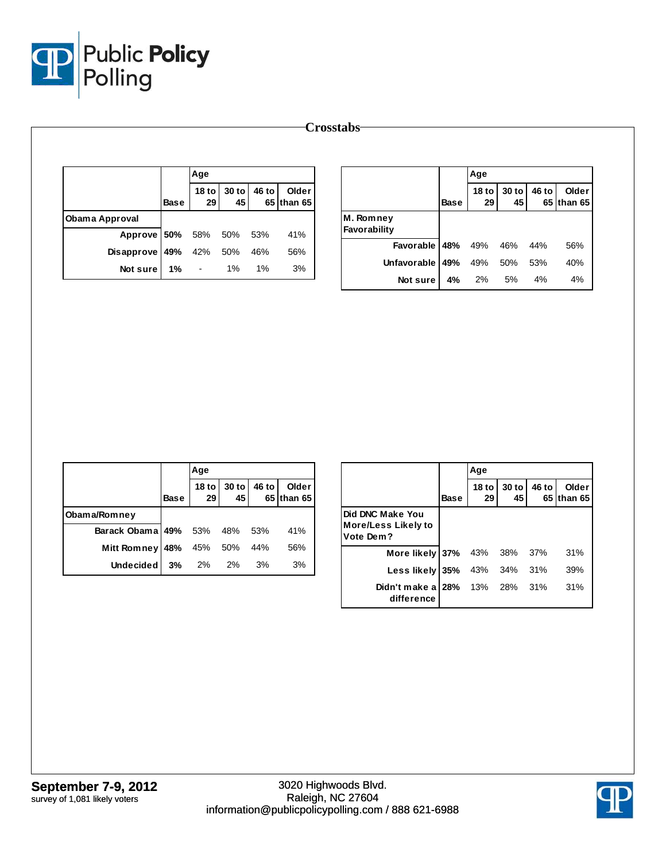

|                       |             | Age                    |             |       |                     |              |             | Age                    |             |       |                     |
|-----------------------|-------------|------------------------|-------------|-------|---------------------|--------------|-------------|------------------------|-------------|-------|---------------------|
|                       | <b>Base</b> | 18 <sub>to</sub><br>29 | 30 to<br>45 | 46 to | Older<br>65 than 65 |              | <b>Base</b> | 18 <sub>to</sub><br>29 | 30 to<br>45 | 46 to | Older<br>65 than 65 |
| <b>Obama Approval</b> |             |                        |             |       |                     | M. Romney    |             |                        |             |       |                     |
| Approve 50%           |             | 58%                    | 50%         | 53%   | 41%                 | Favorability |             |                        |             |       |                     |
| <b>Disapprove</b>     | 49%         | 42%                    | 50%         | 46%   | 56%                 | Favorable    | 48%         | 49%                    | 46%         | 44%   | 56%                 |
| Not sure              | $1\%$       | $\blacksquare$         | 1%          | $1\%$ | 3%                  | Unfavorable  | 49%         | 49%                    | 50%         | 53%   | 40%                 |
|                       |             |                        |             |       |                     | Not sure     | 4%          | 2%                     | 5%          | 4%    | 4%                  |

|                          |             | Age     |                     |       |                     |  |  |  |
|--------------------------|-------------|---------|---------------------|-------|---------------------|--|--|--|
|                          | <b>Base</b> | 29      | 18 to $30$ to<br>45 | 46 to | Older<br>65 than 65 |  |  |  |
| Obama/Romney             |             |         |                     |       |                     |  |  |  |
| Barack Obama 49% 53% 48% |             |         |                     | 53%   | 41%                 |  |  |  |
| <b>Mitt Romney</b>       | 48%         | 45% 50% |                     | 44%   | 56%                 |  |  |  |
| Undecided l              | 3%          | 2% 2%   |                     | 3%    | 3%                  |  |  |  |

|                                                             |             | Age           |               |               |                  |
|-------------------------------------------------------------|-------------|---------------|---------------|---------------|------------------|
|                                                             | <b>Base</b> | $18$ to<br>29 | $30$ to<br>45 | 46 to<br>65 I | Older<br>than 65 |
| Did DNC Make You<br><b>More/Less Likely to</b><br>Vote Dem? |             |               |               |               |                  |
| More likely 37%                                             |             | 43% 38%       |               | -37%          | 31%              |
| Less likely 35%                                             |             | 43%           | 34%           | 31%           | 39%              |
| Didn't make a 28%<br>difference                             |             | 13%           | 28%           | 31%           | 31%              |

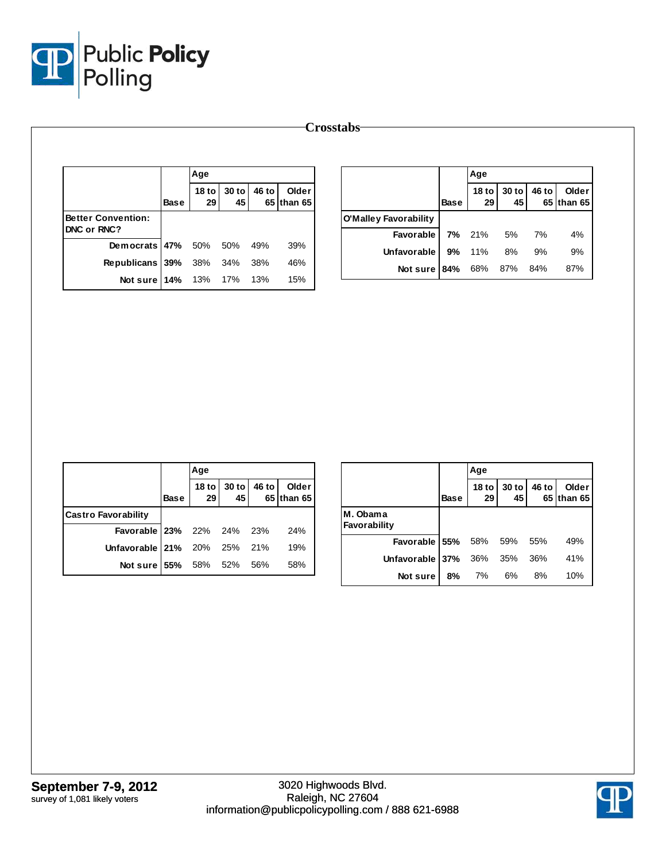

|                                                 |             | Age                    |             |       |                     |                                           |             | Age                    |               |       |                     |
|-------------------------------------------------|-------------|------------------------|-------------|-------|---------------------|-------------------------------------------|-------------|------------------------|---------------|-------|---------------------|
|                                                 | <b>Base</b> | 18 <sub>to</sub><br>29 | 30 to<br>45 | 46 to | Older<br>65 than 65 |                                           | <b>Base</b> | 18 <sub>to</sub><br>29 | $30$ to<br>45 | 46 to | Older<br>65 than 65 |
| <b>Better Convention:</b><br><b>DNC or RNC?</b> |             |                        |             |       |                     | <b>O'Malley Favorability</b><br>Favorable | 7%          | 21%                    | 5%            | 7%    | 4%                  |
| Democrats 47%                                   |             | 50%                    | 50%         | 49%   | 39%                 | Unfavorable                               | 9%          | 11%                    | 8%            | 9%    | 9%                  |
| Republicans 39%                                 |             | 38%                    | 34%         | 38%   | 46%                 | Not sure 84%                              |             | 68%                    | 87%           | 84%   | 87%                 |
| Not sure $14\%$                                 |             | 13%                    | 17%         | 13%   | 15%                 |                                           |             |                        |               |       |                     |

|                             |      | Age |                            |                     |
|-----------------------------|------|-----|----------------------------|---------------------|
|                             | Base |     | 18 to 30 to 46 to 29 45 65 | Older<br>65 than 65 |
| <b>Castro Favorability</b>  |      |     |                            |                     |
| Favorable 23% 22% 24% 23%   |      |     |                            | 24%                 |
| Unfavorable 21% 20% 25% 21% |      |     |                            | 19%                 |
| Not sure   55% 58% 52% 56%  |      |     |                            | 58%                 |

|                          |             | Age                |               |       |                     |
|--------------------------|-------------|--------------------|---------------|-------|---------------------|
|                          | <b>Base</b> | <b>18 to</b><br>29 | $30$ to<br>45 | 46 to | Older<br>65 than 65 |
| M. Obama<br>Favorability |             |                    |               |       |                     |
| Favorable 55%            |             | 58%                | - 59%         | 55%   | 49%                 |
| Unfavorable 37%          |             | 36%                | 35%           | 36%   | 41%                 |
| Not sure                 | 8%          | 7%                 | 6%            | 8%    | 10%                 |

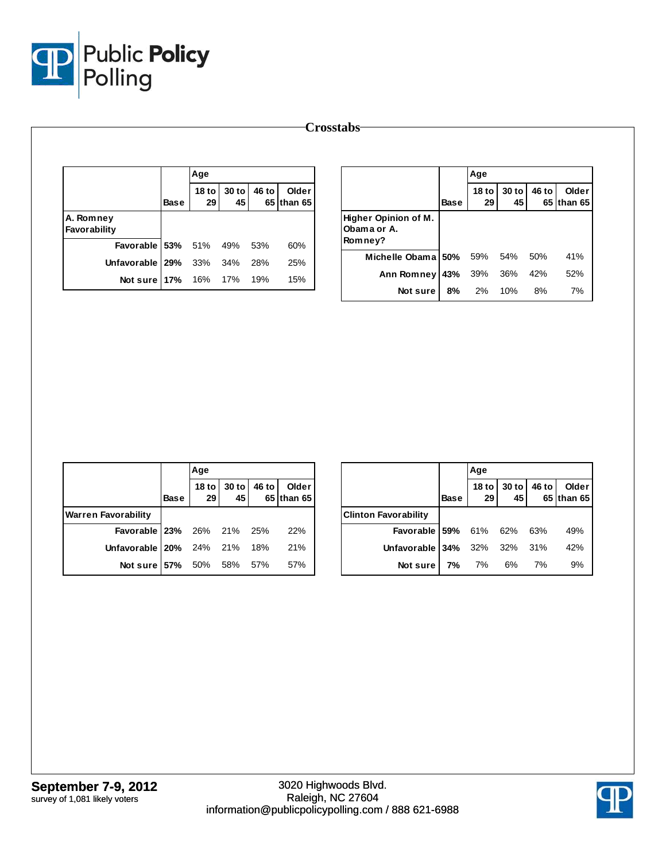

|                           |             | Age                    |               |       |                     |                                     |             | Age                    |               |       |                     |
|---------------------------|-------------|------------------------|---------------|-------|---------------------|-------------------------------------|-------------|------------------------|---------------|-------|---------------------|
|                           | <b>Base</b> | 18 <sub>to</sub><br>29 | $30$ to<br>45 | 46 to | Older<br>65 than 65 |                                     | <b>Base</b> | 18 <sub>to</sub><br>29 | $30$ to<br>45 | 46 to | Older<br>65 than 65 |
| A. Romney<br>Favorability |             |                        |               |       |                     | Higher Opinion of M.<br>Obama or A. |             |                        |               |       |                     |
| Favorable 53%             |             | 51%                    | 49%           | 53%   | 60%                 | Romney?                             |             |                        |               |       |                     |
| Unfavorable   29%         |             | 33%                    | 34%           | 28%   | 25%                 | Michelle Obama 50%                  |             | 59%                    | 54%           | 50%   | 41%                 |
| Not sure 17%              |             | 16%                    | 17%           | 19%   | 15%                 | Ann Romney 43%                      |             | 39%                    | 36%           | 42%   | 52%                 |
|                           |             |                        |               |       |                     | Not sure                            | 8%          | 2%                     | 10%           | 8%    | 7%                  |

|                                  |      | Age |                            |                     |
|----------------------------------|------|-----|----------------------------|---------------------|
|                                  | Base |     | 18 to 30 to 46 to 29 45 65 | Older<br>65 than 65 |
| <b>Warren Favorability</b>       |      |     |                            |                     |
| <b>Favorable 23%</b> 26% 21% 25% |      |     |                            | 22%                 |
| Unfavorable 20% 24% 21% 18% 21%  |      |     |                            |                     |
| Not sure 57% 50% 58% 57%         |      |     |                            | 57%                 |

|                                  |             | Age |                            |                     |
|----------------------------------|-------------|-----|----------------------------|---------------------|
|                                  | <b>Base</b> |     | 18 to 30 to 46 to 29 45 65 | Older<br>65 than 65 |
| <b>Clinton Favorability</b>      |             |     |                            |                     |
| <b>Favorable 59%</b> 61% 62% 63% |             |     |                            | 49%                 |
| Unfavorable 34% 32% 32% 31%      |             |     |                            | 42%                 |
| Not sure   7% 7% 6% 7%           |             |     |                            | 9%                  |

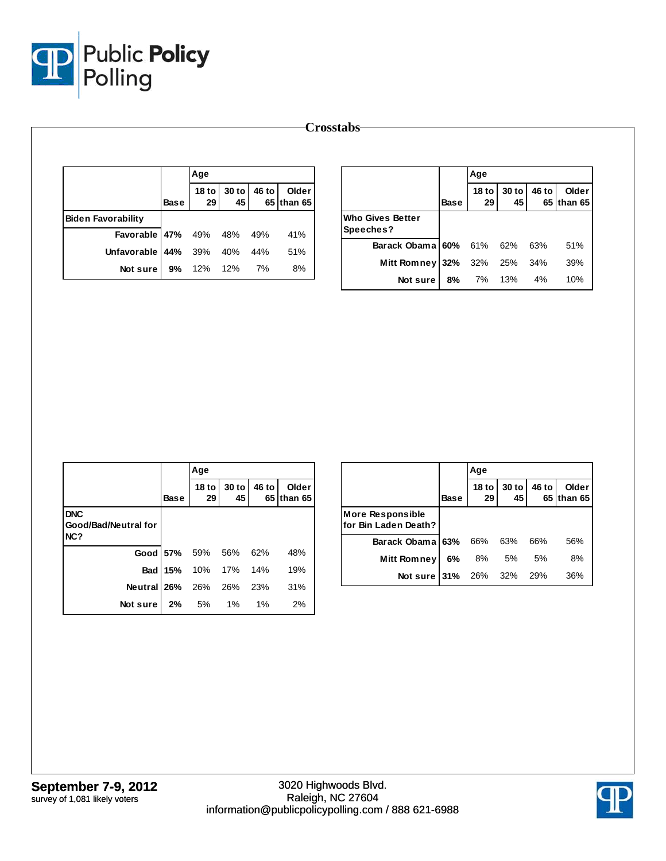

|                           |             | Age                                 |             |       |                     |                         |             | Age                    |             |       |                     |
|---------------------------|-------------|-------------------------------------|-------------|-------|---------------------|-------------------------|-------------|------------------------|-------------|-------|---------------------|
|                           | <b>Base</b> | 18 <sub>to</sub><br>29 <sup>1</sup> | 30 to<br>45 | 46 to | Older<br>65 than 65 |                         | <b>Base</b> | 18 <sub>to</sub><br>29 | 30 to<br>45 | 46 to | Older<br>65 than 65 |
| <b>Biden Favorability</b> |             |                                     |             |       |                     | <b>Who Gives Better</b> |             |                        |             |       |                     |
| Favorable                 | 47%         | 49%                                 | 48%         | 49%   | 41%                 | Speeches?               |             |                        |             |       |                     |
| Unfavorable               | 44%         | 39%                                 | 40%         | 44%   | 51%                 | Barack Obama 60%        |             | 61%                    | 62%         | 63%   | 51%                 |
| Not sure                  | 9%          | 12%                                 | 12%         | 7%    | 8%                  | Mitt Romney 32%         |             | 32%                    | 25%         | 34%   | 39%                 |
|                           |             |                                     |             |       |                     | Not sure                | 8%          | 7%                     | 13%         | 4%    | 10%                 |

|                                           |             | Age              |             |       |                             |
|-------------------------------------------|-------------|------------------|-------------|-------|-----------------------------|
|                                           | <b>Base</b> | $18$ to<br>29    | 30 to<br>45 | 46 to | <b>Older</b><br>65 Ithan 65 |
| <b>DNC</b><br>Good/Bad/Neutral for<br>NC? |             |                  |             |       |                             |
|                                           |             | Good 57% 59% 56% |             | 62%   | 48%                         |
| <b>Bad</b>                                |             | 15% 10% 17%      |             | 14%   | 19%                         |
| <b>Neutral 26%</b> 26% 26%                |             |                  |             | 23%   | 31%                         |
| Not sure I                                | 2%          | 5% 1%            |             | 1%    | 2%                          |

|                                                 |             | Age                    |             |       |                     |
|-------------------------------------------------|-------------|------------------------|-------------|-------|---------------------|
|                                                 | <b>Base</b> | 18 <sub>to</sub><br>29 | 30 to<br>45 | 46 to | Older<br>65 than 65 |
| <b>More Responsible</b><br>for Bin Laden Death? |             |                        |             |       |                     |
| Barack Obama 63%                                |             | 66%                    | 63%         | 66%   | 56%                 |
| Mitt Romney                                     | 6%          | 8%                     | 5%          | 5%    | 8%                  |
| Not sure 31% 26% 32% 29%                        |             |                        |             |       | 36%                 |

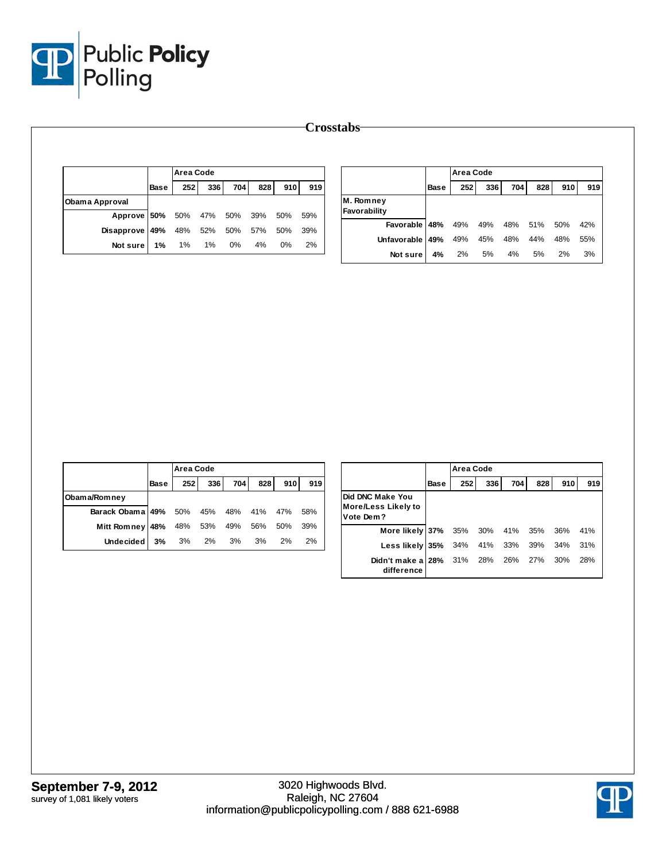

|                                    |             | Area Code |          |       |     |       |     |
|------------------------------------|-------------|-----------|----------|-------|-----|-------|-----|
|                                    | <b>Base</b> | 252       | 336      | 704 l | 828 | 910   | 919 |
| Obama Approval                     |             |           |          |       |     |       |     |
| Approve 50% 50% 47% 50% 39% 50%    |             |           |          |       |     |       | 59% |
| Disapprove 49% 48% 52% 50% 57% 50% |             |           |          |       |     |       | 39% |
| Notsure 1%                         |             |           | 1% 1% 0% |       | 4%  | $0\%$ | 2%  |

|                           |             | <b>Area Code</b> |     |     |     |     |     |
|---------------------------|-------------|------------------|-----|-----|-----|-----|-----|
|                           | <b>Base</b> | 252              | 336 | 704 | 828 | 910 | 919 |
| M. Romney<br>Favorability |             |                  |     |     |     |     |     |
| Favorable 48%             |             | 49%              | 49% | 48% | 51% | 50% | 42% |
| Unfavorable 49%           |             | 49%              | 45% | 48% | 44% | 48% | 55% |
| Not sure                  | 4%          | 2%               | 5%  | 4%  | 5%  | 2%  | 3%  |

|                              |      | <b>Area Code</b> |     |             |     |     |     |
|------------------------------|------|------------------|-----|-------------|-----|-----|-----|
|                              | Base | 252              | 336 | 704         | 828 | 910 | 919 |
| Obama/Romney                 |      |                  |     |             |     |     |     |
| Barack Obama 49% 50% 45% 48% |      |                  |     |             | 41% | 47% | 58% |
| Mitt Romney 48%              |      |                  |     | 48% 53% 49% | 56% | 50% | 39% |
| Undecided l                  | 3%   | 3%               | 2%  | 3%          | 3%  | 2%  | 2%  |

|                                                      |      | Area Code |     |     |     |     |     |
|------------------------------------------------------|------|-----------|-----|-----|-----|-----|-----|
|                                                      | Base | 252       | 336 | 704 | 828 | 910 | 919 |
| Did DNC Make You<br>More/Less Likely to<br>Vote Dem? |      |           |     |     |     |     |     |
| More likely 37%                                      |      | 35%       | 30% | 41% | 35% | 36% | 41% |
| Less likely 35%                                      |      | 34%       | 41% | 33% | 39% | 34% | 31% |
| Didn't make a 28%<br>difference                      |      | 31%       | 28% | 26% | 27% | 30% | 28% |

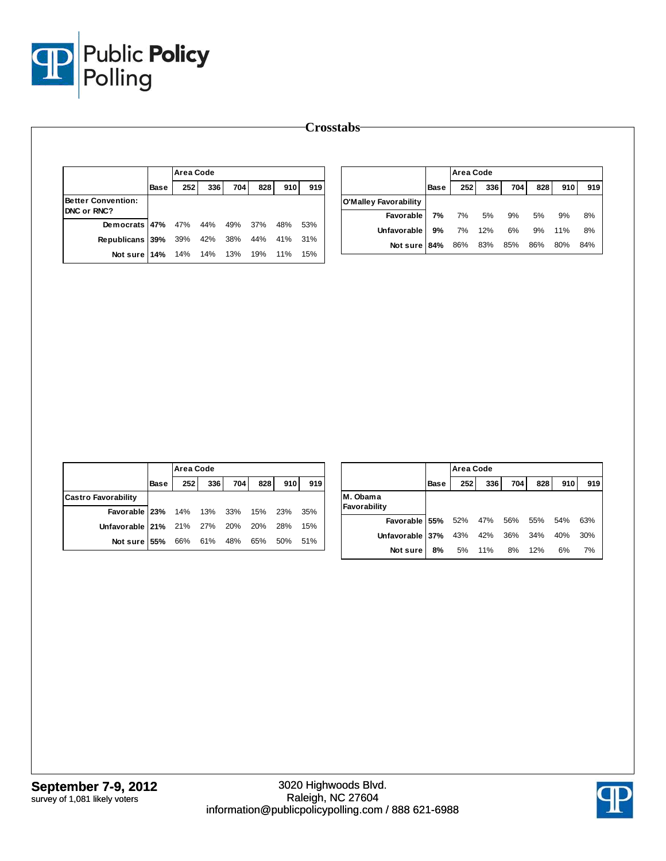

|                           |             | <b>Area Code</b> |     |     |     |     |     |                       |             | <b>Area Code</b> |     |     |     |     |     |
|---------------------------|-------------|------------------|-----|-----|-----|-----|-----|-----------------------|-------------|------------------|-----|-----|-----|-----|-----|
|                           | <b>Base</b> | 252              | 336 | 704 | 828 | 910 | 919 |                       | <b>Base</b> | 252              | 336 | 704 | 828 | 910 | 919 |
| <b>Better Convention:</b> |             |                  |     |     |     |     |     | O'Malley Favorability |             |                  |     |     |     |     |     |
| DNC or RNC?               |             |                  |     |     |     |     |     | Favorable             | 7%          | 7%               | 5%  | 9%  | 5%  | 9%  | 8%  |
| Democrats 47%             |             | 47%              | 44% | 49% | 37% | 48% | 53% | Unfavorable           | 9%          | 7%               | 12% | 6%  | 9%  | 11% | 8%  |
| Republicans 39%           |             | 39%              | 42% | 38% | 44% | 41% | 31% | Not sure 84%          |             | 86%              | 83% | 85% | 86% | 80% | 84% |
| Not sure 14%              |             | 14%              | 14% | 13% | 19% | 11% | 15% |                       |             |                  |     |     |     |     |     |

|                                     |      | <b>Area Code</b> |             |     |     |     |     |  |  |  |  |
|-------------------------------------|------|------------------|-------------|-----|-----|-----|-----|--|--|--|--|
|                                     | Base | 252              | 336         | 704 | 828 | 910 | 919 |  |  |  |  |
| <b>Castro Favorability</b>          |      |                  |             |     |     |     |     |  |  |  |  |
| Favorable 23% 14% 13% 33% 15% 23%   |      |                  |             |     |     |     | 35% |  |  |  |  |
| Unfavorable 21% 21% 27% 20% 20% 28% |      |                  |             |     |     |     | 15% |  |  |  |  |
| Not sure 55%                        |      |                  | 66% 61% 48% |     | 65% | 50% | 51% |  |  |  |  |

|                          |      | Area Code |         |     |     |     |     |  |  |  |
|--------------------------|------|-----------|---------|-----|-----|-----|-----|--|--|--|
|                          | Base | 252       | 336     | 704 | 828 | 910 | 919 |  |  |  |
| M. Obama<br>Favorability |      |           |         |     |     |     |     |  |  |  |
| Favorable 55%            |      | 52%       | 47% 56% |     | 55% | 54% | 63% |  |  |  |
| Unfavorable 37%          |      | 43%       | 42%     | 36% | 34% | 40% | 30% |  |  |  |
| Not sure                 | 8%   | 5%        | 11%     | 8%  | 12% | 6%  | 7%  |  |  |  |

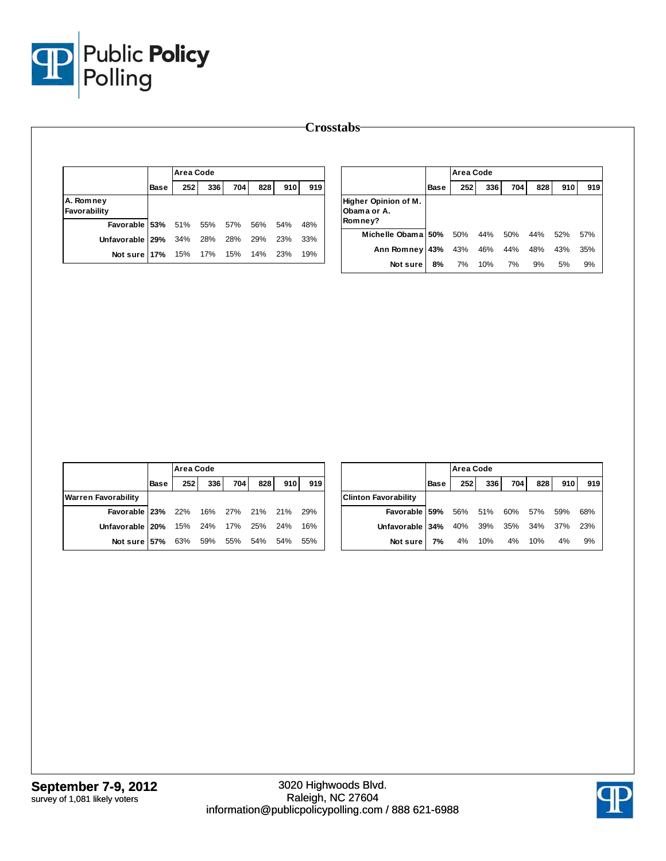

|                           |             |     | Area Code |     |     |     |     |                                     |             | <b>Area Code</b> |     |     |     |     |     |
|---------------------------|-------------|-----|-----------|-----|-----|-----|-----|-------------------------------------|-------------|------------------|-----|-----|-----|-----|-----|
|                           | <b>Base</b> | 252 | 336       | 704 | 828 | 910 | 919 |                                     | <b>Base</b> | 252              | 336 | 704 | 828 | 910 | 919 |
| A. Romney<br>Favorability |             |     |           |     |     |     |     | Higher Opinion of M.<br>Obama or A. |             |                  |     |     |     |     |     |
| Favorable 53%             |             | 51% | 55%       | 57% | 56% | 54% | 48% | Romney?                             |             |                  |     |     |     |     |     |
| Unfavorable 29%           |             | 34% | 28%       | 28% | 29% | 23% | 33% | Michelle Obama 50%                  |             | 50%              | 44% | 50% | 44% | 52% | 57% |
| Not sure 17%              |             | 15% | 17%       | 15% | 14% | 23% | 19% | Ann Romney 43%                      |             | 43%              | 46% | 44% | 48% | 43% | 35% |
|                           |             |     |           |     |     |     |     | Not sure                            | 8%          | 7%               | 10% | 7%  | 9%  | 5%  | 9%  |

|                            |             | <b>Area Code</b> |     |     |     |     |     |                             |             | Area Code        |     |      |     |     |     |
|----------------------------|-------------|------------------|-----|-----|-----|-----|-----|-----------------------------|-------------|------------------|-----|------|-----|-----|-----|
|                            | <b>Base</b> | 252              | 336 | 704 | 828 | 910 | 919 |                             | <b>Base</b> | 252 <sub>1</sub> | 336 | 7041 | 828 | 910 | 919 |
| <b>Warren Favorability</b> |             |                  |     |     |     |     |     | <b>Clinton Favorability</b> |             |                  |     |      |     |     |     |
| Favorable 23%              |             | 22%              | 16% | 27% | 21% | 21% | 29% | Favorable 59%               |             | 56%              | 51% | 60%  | 57% | 59% | 68% |
| Unfavorable   20%          |             | 15%              | 24% | 17% | 25% | 24% | 16% | Unfavorable 34%             |             | 40%              | 39% | 35%  | 34% | 37% | 23% |
| Not sure 57%               |             | 63%              | 59% | 55% | 54% | 54% | 55% | Not sure                    | 7%          | 4%               | 10% | 4%   | 10% | 4%  | 9%  |
|                            |             |                  |     |     |     |     |     |                             |             |                  |     |      |     |     |     |